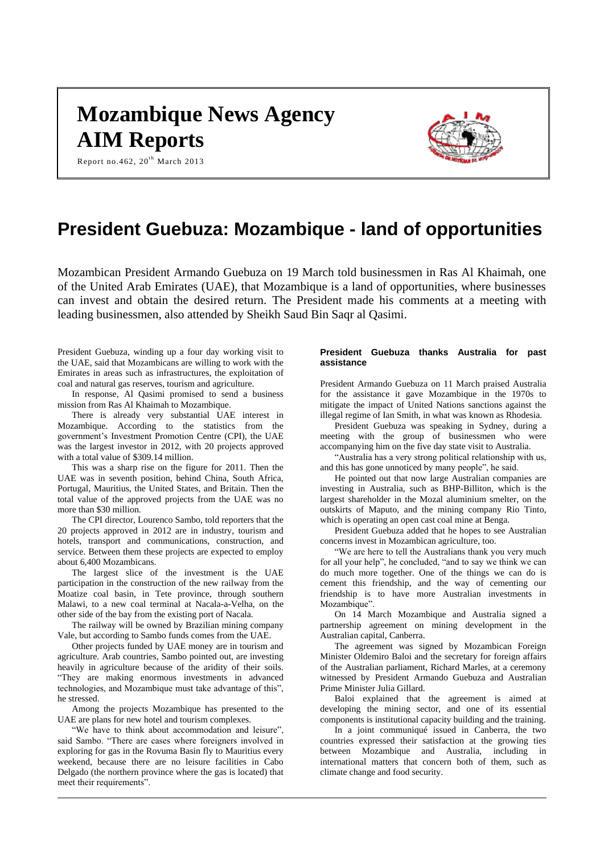# **Mozambique News Agency AIM Reports**



Report no.462,  $20^{th}$  March 2013

# **President Guebuza: Mozambique - land of opportunities**

Mozambican President Armando Guebuza on 19 March told businessmen in Ras Al Khaimah, one of the United Arab Emirates (UAE), that Mozambique is a land of opportunities, where businesses can invest and obtain the desired return. The President made his comments at a meeting with leading businessmen, also attended by Sheikh Saud Bin Saqr al Qasimi.

President Guebuza, winding up a four day working visit to the UAE, said that Mozambicans are willing to work with the Emirates in areas such as infrastructures, the exploitation of coal and natural gas reserves, tourism and agriculture.

In response, Al Qasimi promised to send a business mission from Ras Al Khaimah to Mozambique.

There is already very substantial UAE interest in Mozambique. According to the statistics from the government's Investment Promotion Centre (CPI), the UAE was the largest investor in 2012, with 20 projects approved with a total value of \$309.14 million.

This was a sharp rise on the figure for 2011. Then the UAE was in seventh position, behind China, South Africa, Portugal, Mauritius, the United States, and Britain. Then the total value of the approved projects from the UAE was no more than \$30 million.

The CPI director, Lourenco Sambo, told reporters that the 20 projects approved in 2012 are in industry, tourism and hotels, transport and communications, construction, and service. Between them these projects are expected to employ about 6,400 Mozambicans.

The largest slice of the investment is the UAE participation in the construction of the new railway from the Moatize coal basin, in Tete province, through southern Malawi, to a new coal terminal at Nacala-a-Velha, on the other side of the bay from the existing port of Nacala.

The railway will be owned by Brazilian mining company Vale, but according to Sambo funds comes from the UAE.

Other projects funded by UAE money are in tourism and agriculture. Arab countries, Sambo pointed out, are investing heavily in agriculture because of the aridity of their soils. "They are making enormous investments in advanced technologies, and Mozambique must take advantage of this", he stressed.

Among the projects Mozambique has presented to the UAE are plans for new hotel and tourism complexes.

"We have to think about accommodation and leisure", said Sambo. "There are cases where foreigners involved in exploring for gas in the Rovuma Basin fly to Mauritius every weekend, because there are no leisure facilities in Cabo Delgado (the northern province where the gas is located) that meet their requirements".

# **President Guebuza thanks Australia for past assistance**

President Armando Guebuza on 11 March praised Australia for the assistance it gave Mozambique in the 1970s to mitigate the impact of United Nations sanctions against the illegal regime of Ian Smith, in what was known as Rhodesia.

President Guebuza was speaking in Sydney, during a meeting with the group of businessmen who were accompanying him on the five day state visit to Australia.

"Australia has a very strong political relationship with us, and this has gone unnoticed by many people", he said.

He pointed out that now large Australian companies are investing in Australia, such as BHP-Billiton, which is the largest shareholder in the Mozal aluminium smelter, on the outskirts of Maputo, and the mining company Rio Tinto, which is operating an open cast coal mine at Benga.

President Guebuza added that he hopes to see Australian concerns invest in Mozambican agriculture, too.

"We are here to tell the Australians thank you very much for all your help", he concluded, "and to say we think we can do much more together. One of the things we can do is cement this friendship, and the way of cementing our friendship is to have more Australian investments in Mozambique".

On 14 March Mozambique and Australia signed a partnership agreement on mining development in the Australian capital, Canberra.

The agreement was signed by Mozambican Foreign Minister Oldemiro Baloi and the secretary for foreign affairs of the Australian parliament, Richard Marles, at a ceremony witnessed by President Armando Guebuza and Australian Prime Minister Julia Gillard.

Baloi explained that the agreement is aimed at developing the mining sector, and one of its essential components is institutional capacity building and the training.

In a joint communiqué issued in Canberra, the two countries expressed their satisfaction at the growing ties between Mozambique and Australia, including in international matters that concern both of them, such as climate change and food security.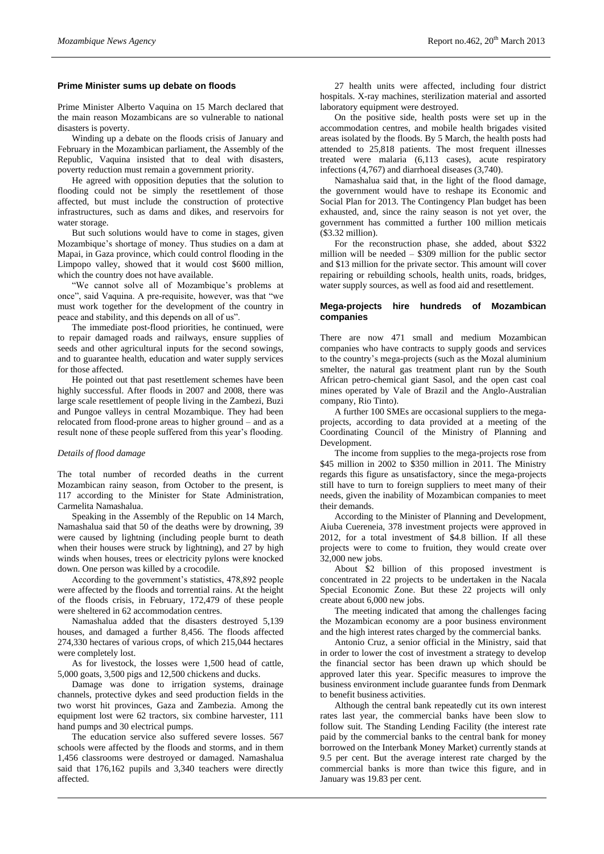#### **Prime Minister sums up debate on floods**

Prime Minister Alberto Vaquina on 15 March declared that the main reason Mozambicans are so vulnerable to national disasters is poverty.

Winding up a debate on the floods crisis of January and February in the Mozambican parliament, the Assembly of the Republic, Vaquina insisted that to deal with disasters, poverty reduction must remain a government priority.

He agreed with opposition deputies that the solution to flooding could not be simply the resettlement of those affected, but must include the construction of protective infrastructures, such as dams and dikes, and reservoirs for water storage.

But such solutions would have to come in stages, given Mozambique's shortage of money. Thus studies on a dam at Mapai, in Gaza province, which could control flooding in the Limpopo valley, showed that it would cost \$600 million, which the country does not have available.

"We cannot solve all of Mozambique's problems at once", said Vaquina. A pre-requisite, however, was that "we must work together for the development of the country in peace and stability, and this depends on all of us".

The immediate post-flood priorities, he continued, were to repair damaged roads and railways, ensure supplies of seeds and other agricultural inputs for the second sowings, and to guarantee health, education and water supply services for those affected.

He pointed out that past resettlement schemes have been highly successful. After floods in 2007 and 2008, there was large scale resettlement of people living in the Zambezi, Buzi and Pungoe valleys in central Mozambique. They had been relocated from flood-prone areas to higher ground – and as a result none of these people suffered from this year's flooding.

#### *Details of flood damage*

The total number of recorded deaths in the current Mozambican rainy season, from October to the present, is 117 according to the Minister for State Administration, Carmelita Namashalua.

Speaking in the Assembly of the Republic on 14 March, Namashalua said that 50 of the deaths were by drowning, 39 were caused by lightning (including people burnt to death when their houses were struck by lightning), and 27 by high winds when houses, trees or electricity pylons were knocked down. One person was killed by a crocodile.

According to the government's statistics, 478,892 people were affected by the floods and torrential rains. At the height of the floods crisis, in February, 172,479 of these people were sheltered in 62 accommodation centres.

Namashalua added that the disasters destroyed 5,139 houses, and damaged a further 8,456. The floods affected 274,330 hectares of various crops, of which 215,044 hectares were completely lost.

As for livestock, the losses were 1,500 head of cattle, 5,000 goats, 3,500 pigs and 12,500 chickens and ducks.

Damage was done to irrigation systems, drainage channels, protective dykes and seed production fields in the two worst hit provinces, Gaza and Zambezia. Among the equipment lost were 62 tractors, six combine harvester, 111 hand pumps and 30 electrical pumps.

The education service also suffered severe losses. 567 schools were affected by the floods and storms, and in them 1,456 classrooms were destroyed or damaged. Namashalua said that 176,162 pupils and 3,340 teachers were directly affected.

27 health units were affected, including four district hospitals. X-ray machines, sterilization material and assorted laboratory equipment were destroyed.

On the positive side, health posts were set up in the accommodation centres, and mobile health brigades visited areas isolated by the floods. By 5 March, the health posts had attended to 25,818 patients. The most frequent illnesses treated were malaria (6,113 cases), acute respiratory infections (4,767) and diarrhoeal diseases (3,740).

Namashalua said that, in the light of the flood damage, the government would have to reshape its Economic and Social Plan for 2013. The Contingency Plan budget has been exhausted, and, since the rainy season is not yet over, the government has committed a further 100 million meticais (\$3.32 million).

For the reconstruction phase, she added, about \$322 million will be needed – \$309 million for the public sector and \$13 million for the private sector. This amount will cover repairing or rebuilding schools, health units, roads, bridges, water supply sources, as well as food aid and resettlement.

#### **Mega-projects hire hundreds of Mozambican companies**

There are now 471 small and medium Mozambican companies who have contracts to supply goods and services to the country's mega-projects (such as the Mozal aluminium smelter, the natural gas treatment plant run by the South African petro-chemical giant Sasol, and the open cast coal mines operated by Vale of Brazil and the Anglo-Australian company, Rio Tinto).

A further 100 SMEs are occasional suppliers to the megaprojects, according to data provided at a meeting of the Coordinating Council of the Ministry of Planning and Development.

The income from supplies to the mega-projects rose from \$45 million in 2002 to \$350 million in 2011. The Ministry regards this figure as unsatisfactory, since the mega-projects still have to turn to foreign suppliers to meet many of their needs, given the inability of Mozambican companies to meet their demands.

According to the Minister of Planning and Development, Aiuba Cuereneia, 378 investment projects were approved in 2012, for a total investment of \$4.8 billion. If all these projects were to come to fruition, they would create over 32,000 new jobs.

About \$2 billion of this proposed investment is concentrated in 22 projects to be undertaken in the Nacala Special Economic Zone. But these 22 projects will only create about 6,000 new jobs.

The meeting indicated that among the challenges facing the Mozambican economy are a poor business environment and the high interest rates charged by the commercial banks.

Antonio Cruz, a senior official in the Ministry, said that in order to lower the cost of investment a strategy to develop the financial sector has been drawn up which should be approved later this year. Specific measures to improve the business environment include guarantee funds from Denmark to benefit business activities.

Although the central bank repeatedly cut its own interest rates last year, the commercial banks have been slow to follow suit. The Standing Lending Facility (the interest rate paid by the commercial banks to the central bank for money borrowed on the Interbank Money Market) currently stands at 9.5 per cent. But the average interest rate charged by the commercial banks is more than twice this figure, and in January was 19.83 per cent.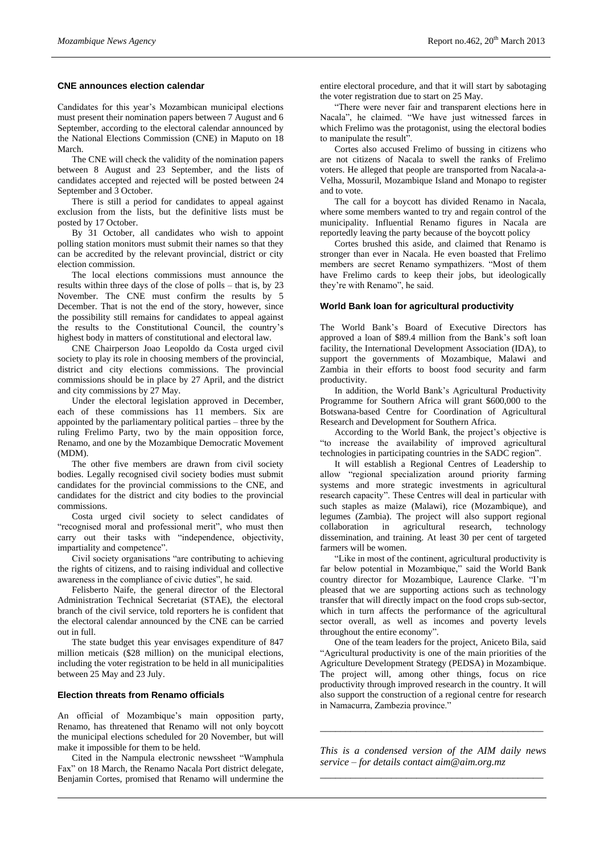#### **CNE announces election calendar**

Candidates for this year's Mozambican municipal elections must present their nomination papers between 7 August and 6 September, according to the electoral calendar announced by the National Elections Commission (CNE) in Maputo on 18 March.

The CNE will check the validity of the nomination papers between 8 August and 23 September, and the lists of candidates accepted and rejected will be posted between 24 September and 3 October.

There is still a period for candidates to appeal against exclusion from the lists, but the definitive lists must be posted by 17 October.

By 31 October, all candidates who wish to appoint polling station monitors must submit their names so that they can be accredited by the relevant provincial, district or city election commission.

The local elections commissions must announce the results within three days of the close of polls – that is, by 23 November. The CNE must confirm the results by 5 December. That is not the end of the story, however, since the possibility still remains for candidates to appeal against the results to the Constitutional Council, the country's highest body in matters of constitutional and electoral law.

CNE Chairperson Joao Leopoldo da Costa urged civil society to play its role in choosing members of the provincial, district and city elections commissions. The provincial commissions should be in place by 27 April, and the district and city commissions by 27 May.

Under the electoral legislation approved in December, each of these commissions has 11 members. Six are appointed by the parliamentary political parties – three by the ruling Frelimo Party, two by the main opposition force, Renamo, and one by the Mozambique Democratic Movement (MDM).

The other five members are drawn from civil society bodies. Legally recognised civil society bodies must submit candidates for the provincial commissions to the CNE, and candidates for the district and city bodies to the provincial commissions.

Costa urged civil society to select candidates of "recognised moral and professional merit", who must then carry out their tasks with "independence, objectivity, impartiality and competence".

Civil society organisations "are contributing to achieving the rights of citizens, and to raising individual and collective awareness in the compliance of civic duties", he said.

Felisberto Naife, the general director of the Electoral Administration Technical Secretariat (STAE), the electoral branch of the civil service, told reporters he is confident that the electoral calendar announced by the CNE can be carried out in full.

The state budget this year envisages expenditure of 847 million meticais (\$28 million) on the municipal elections, including the voter registration to be held in all municipalities between 25 May and 23 July.

## **Election threats from Renamo officials**

An official of Mozambique's main opposition party, Renamo, has threatened that Renamo will not only boycott the municipal elections scheduled for 20 November, but will make it impossible for them to be held.

Cited in the Nampula electronic newssheet "Wamphula Fax" on 18 March, the Renamo Nacala Port district delegate, Benjamin Cortes, promised that Renamo will undermine the

entire electoral procedure, and that it will start by sabotaging the voter registration due to start on 25 May.

"There were never fair and transparent elections here in Nacala", he claimed. "We have just witnessed farces in which Frelimo was the protagonist, using the electoral bodies to manipulate the result".

Cortes also accused Frelimo of bussing in citizens who are not citizens of Nacala to swell the ranks of Frelimo voters. He alleged that people are transported from Nacala-a-Velha, Mossuril, Mozambique Island and Monapo to register and to vote.

The call for a boycott has divided Renamo in Nacala, where some members wanted to try and regain control of the municipality. Influential Renamo figures in Nacala are reportedly leaving the party because of the boycott policy

Cortes brushed this aside, and claimed that Renamo is stronger than ever in Nacala. He even boasted that Frelimo members are secret Renamo sympathizers. "Most of them have Frelimo cards to keep their jobs, but ideologically they're with Renamo", he said.

#### **World Bank loan for agricultural productivity**

The World Bank's Board of Executive Directors has approved a loan of \$89.4 million from the Bank's soft loan facility, the International Development Association (IDA), to support the governments of Mozambique, Malawi and Zambia in their efforts to boost food security and farm productivity.

In addition, the World Bank's Agricultural Productivity Programme for Southern Africa will grant \$600,000 to the Botswana-based Centre for Coordination of Agricultural Research and Development for Southern Africa.

According to the World Bank, the project's objective is "to increase the availability of improved agricultural technologies in participating countries in the SADC region".

It will establish a Regional Centres of Leadership to allow "regional specialization around priority farming systems and more strategic investments in agricultural research capacity". These Centres will deal in particular with such staples as maize (Malawi), rice (Mozambique), and legumes (Zambia). The project will also support regional collaboration in agricultural research, technology dissemination, and training. At least 30 per cent of targeted farmers will be women.

"Like in most of the continent, agricultural productivity is far below potential in Mozambique," said the World Bank country director for Mozambique, Laurence Clarke. "I'm pleased that we are supporting actions such as technology transfer that will directly impact on the food crops sub-sector, which in turn affects the performance of the agricultural sector overall, as well as incomes and poverty levels throughout the entire economy".

One of the team leaders for the project, Aniceto Bila, said "Agricultural productivity is one of the main priorities of the Agriculture Development Strategy (PEDSA) in Mozambique. The project will, among other things, focus on rice productivity through improved research in the country. It will also support the construction of a regional centre for research in Namacurra, Zambezia province."

*This is a condensed version of the AIM daily news service – for details contact [aim@aim.org.mz](mailto:aim@aim.org.mz) \_\_\_\_\_\_\_\_\_\_\_\_\_\_\_\_\_\_\_\_\_\_\_\_\_\_\_\_\_\_\_\_\_\_\_\_\_\_\_\_\_\_\_\_*

*\_\_\_\_\_\_\_\_\_\_\_\_\_\_\_\_\_\_\_\_\_\_\_\_\_\_\_\_\_\_\_\_\_\_\_\_\_\_\_\_\_\_\_\_*